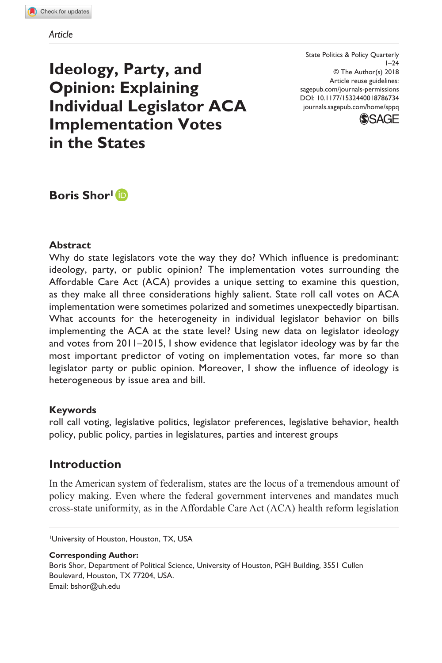DOI: 10.1177/1532440018786734 State Politics & Policy Quarterly  $1 - 24$ © The Author(s) 2018 Article reuse guidelines: [sagepub.com/journals-permissions](https://us.sagepub.com/en-us/journals-permissions) [journals.sagepub.com/home/sppq](https://journals.sagepub.com/home/sppq
)



**Ideology, Party, and Opinion: Explaining Individual Legislator ACA Implementation Votes in the States**

**Boris Shor1**

## **Abstract**

Why do state legislators vote the way they do? Which influence is predominant: ideology, party, or public opinion? The implementation votes surrounding the Affordable Care Act (ACA) provides a unique setting to examine this question, as they make all three considerations highly salient. State roll call votes on ACA implementation were sometimes polarized and sometimes unexpectedly bipartisan. What accounts for the heterogeneity in individual legislator behavior on bills implementing the ACA at the state level? Using new data on legislator ideology and votes from 2011–2015, I show evidence that legislator ideology was by far the most important predictor of voting on implementation votes, far more so than legislator party or public opinion. Moreover, I show the influence of ideology is heterogeneous by issue area and bill.

### **Keywords**

roll call voting, legislative politics, legislator preferences, legislative behavior, health policy, public policy, parties in legislatures, parties and interest groups

## **Introduction**

In the American system of federalism, states are the locus of a tremendous amount of policy making. Even where the federal government intervenes and mandates much cross-state uniformity, as in the Affordable Care Act (ACA) health reform legislation

1University of Houston, Houston, TX, USA

**Corresponding Author:** Boris Shor, Department of Political Science, University of Houston, PGH Building, 3551 Cullen Boulevard, Houston, TX 77204, USA. Email: [bshor@uh.edu](mailto:bshor@uh.edu)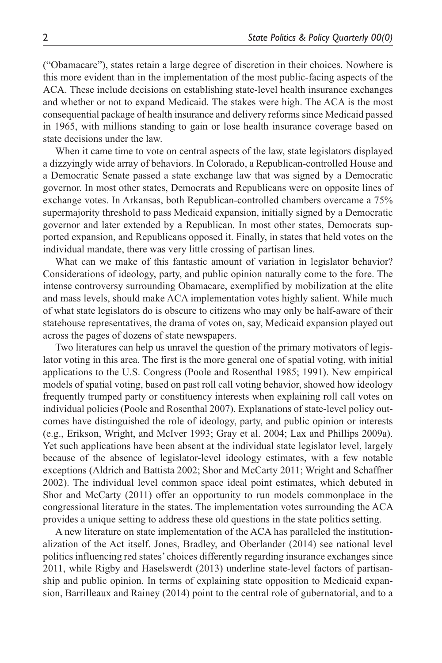("Obamacare"), states retain a large degree of discretion in their choices. Nowhere is this more evident than in the implementation of the most public-facing aspects of the ACA. These include decisions on establishing state-level health insurance exchanges and whether or not to expand Medicaid. The stakes were high. The ACA is the most consequential package of health insurance and delivery reforms since Medicaid passed in 1965, with millions standing to gain or lose health insurance coverage based on state decisions under the law.

When it came time to vote on central aspects of the law, state legislators displayed a dizzyingly wide array of behaviors. In Colorado, a Republican-controlled House and a Democratic Senate passed a state exchange law that was signed by a Democratic governor. In most other states, Democrats and Republicans were on opposite lines of exchange votes. In Arkansas, both Republican-controlled chambers overcame a 75% supermajority threshold to pass Medicaid expansion, initially signed by a Democratic governor and later extended by a Republican. In most other states, Democrats supported expansion, and Republicans opposed it. Finally, in states that held votes on the individual mandate, there was very little crossing of partisan lines.

What can we make of this fantastic amount of variation in legislator behavior? Considerations of ideology, party, and public opinion naturally come to the fore. The intense controversy surrounding Obamacare, exemplified by mobilization at the elite and mass levels, should make ACA implementation votes highly salient. While much of what state legislators do is obscure to citizens who may only be half-aware of their statehouse representatives, the drama of votes on, say, Medicaid expansion played out across the pages of dozens of state newspapers.

Two literatures can help us unravel the question of the primary motivators of legislator voting in this area. The first is the more general one of spatial voting, with initial applications to the U.S. Congress (Poole and Rosenthal 1985; 1991). New empirical models of spatial voting, based on past roll call voting behavior, showed how ideology frequently trumped party or constituency interests when explaining roll call votes on individual policies (Poole and Rosenthal 2007). Explanations of state-level policy outcomes have distinguished the role of ideology, party, and public opinion or interests (e.g., Erikson, Wright, and McIver 1993; Gray et al. 2004; Lax and Phillips 2009a). Yet such applications have been absent at the individual state legislator level, largely because of the absence of legislator-level ideology estimates, with a few notable exceptions (Aldrich and Battista 2002; Shor and McCarty 2011; Wright and Schaffner 2002). The individual level common space ideal point estimates, which debuted in Shor and McCarty (2011) offer an opportunity to run models commonplace in the congressional literature in the states. The implementation votes surrounding the ACA provides a unique setting to address these old questions in the state politics setting.

A new literature on state implementation of the ACA has paralleled the institutionalization of the Act itself. Jones, Bradley, and Oberlander (2014) see national level politics influencing red states' choices differently regarding insurance exchanges since 2011, while Rigby and Haselswerdt (2013) underline state-level factors of partisanship and public opinion. In terms of explaining state opposition to Medicaid expansion, Barrilleaux and Rainey (2014) point to the central role of gubernatorial, and to a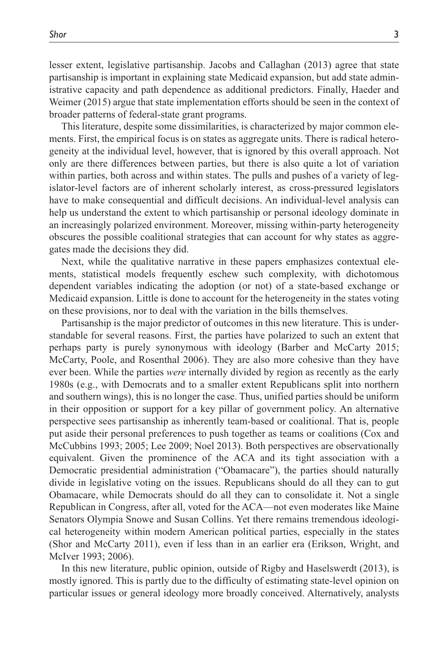lesser extent, legislative partisanship. Jacobs and Callaghan (2013) agree that state partisanship is important in explaining state Medicaid expansion, but add state administrative capacity and path dependence as additional predictors. Finally, Haeder and Weimer (2015) argue that state implementation efforts should be seen in the context of broader patterns of federal-state grant programs.

This literature, despite some dissimilarities, is characterized by major common elements. First, the empirical focus is on states as aggregate units. There is radical heterogeneity at the individual level, however, that is ignored by this overall approach. Not only are there differences between parties, but there is also quite a lot of variation within parties, both across and within states. The pulls and pushes of a variety of legislator-level factors are of inherent scholarly interest, as cross-pressured legislators have to make consequential and difficult decisions. An individual-level analysis can help us understand the extent to which partisanship or personal ideology dominate in an increasingly polarized environment. Moreover, missing within-party heterogeneity obscures the possible coalitional strategies that can account for why states as aggregates made the decisions they did.

Next, while the qualitative narrative in these papers emphasizes contextual elements, statistical models frequently eschew such complexity, with dichotomous dependent variables indicating the adoption (or not) of a state-based exchange or Medicaid expansion. Little is done to account for the heterogeneity in the states voting on these provisions, nor to deal with the variation in the bills themselves.

Partisanship is the major predictor of outcomes in this new literature. This is understandable for several reasons. First, the parties have polarized to such an extent that perhaps party is purely synonymous with ideology (Barber and McCarty 2015; McCarty, Poole, and Rosenthal 2006). They are also more cohesive than they have ever been. While the parties *were* internally divided by region as recently as the early 1980s (e.g., with Democrats and to a smaller extent Republicans split into northern and southern wings), this is no longer the case. Thus, unified parties should be uniform in their opposition or support for a key pillar of government policy. An alternative perspective sees partisanship as inherently team-based or coalitional. That is, people put aside their personal preferences to push together as teams or coalitions (Cox and McCubbins 1993; 2005; Lee 2009; Noel 2013). Both perspectives are observationally equivalent. Given the prominence of the ACA and its tight association with a Democratic presidential administration ("Obamacare"), the parties should naturally divide in legislative voting on the issues. Republicans should do all they can to gut Obamacare, while Democrats should do all they can to consolidate it. Not a single Republican in Congress, after all, voted for the ACA—not even moderates like Maine Senators Olympia Snowe and Susan Collins. Yet there remains tremendous ideological heterogeneity within modern American political parties, especially in the states (Shor and McCarty 2011), even if less than in an earlier era (Erikson, Wright, and McIver 1993; 2006).

In this new literature, public opinion, outside of Rigby and Haselswerdt (2013), is mostly ignored. This is partly due to the difficulty of estimating state-level opinion on particular issues or general ideology more broadly conceived. Alternatively, analysts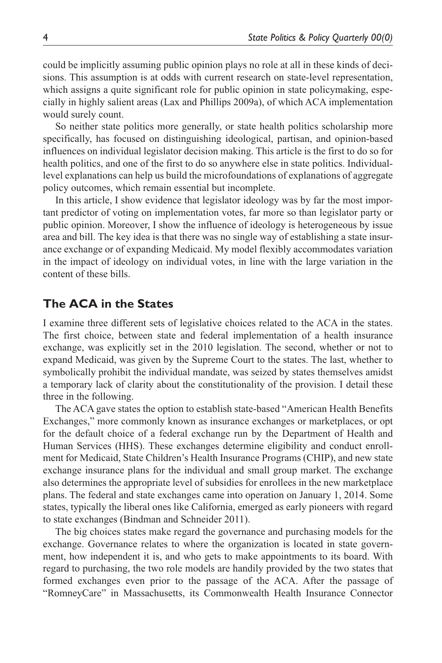could be implicitly assuming public opinion plays no role at all in these kinds of decisions. This assumption is at odds with current research on state-level representation, which assigns a quite significant role for public opinion in state policymaking, especially in highly salient areas (Lax and Phillips 2009a), of which ACA implementation would surely count.

So neither state politics more generally, or state health politics scholarship more specifically, has focused on distinguishing ideological, partisan, and opinion-based influences on individual legislator decision making. This article is the first to do so for health politics, and one of the first to do so anywhere else in state politics. Individuallevel explanations can help us build the microfoundations of explanations of aggregate policy outcomes, which remain essential but incomplete.

In this article, I show evidence that legislator ideology was by far the most important predictor of voting on implementation votes, far more so than legislator party or public opinion. Moreover, I show the influence of ideology is heterogeneous by issue area and bill. The key idea is that there was no single way of establishing a state insurance exchange or of expanding Medicaid. My model flexibly accommodates variation in the impact of ideology on individual votes, in line with the large variation in the content of these bills.

## **The ACA in the States**

I examine three different sets of legislative choices related to the ACA in the states. The first choice, between state and federal implementation of a health insurance exchange, was explicitly set in the 2010 legislation. The second, whether or not to expand Medicaid, was given by the Supreme Court to the states. The last, whether to symbolically prohibit the individual mandate, was seized by states themselves amidst a temporary lack of clarity about the constitutionality of the provision. I detail these three in the following.

The ACA gave states the option to establish state-based "American Health Benefits Exchanges," more commonly known as insurance exchanges or marketplaces, or opt for the default choice of a federal exchange run by the Department of Health and Human Services (HHS). These exchanges determine eligibility and conduct enrollment for Medicaid, State Children's Health Insurance Programs (CHIP), and new state exchange insurance plans for the individual and small group market. The exchange also determines the appropriate level of subsidies for enrollees in the new marketplace plans. The federal and state exchanges came into operation on January 1, 2014. Some states, typically the liberal ones like California, emerged as early pioneers with regard to state exchanges (Bindman and Schneider 2011).

The big choices states make regard the governance and purchasing models for the exchange. Governance relates to where the organization is located in state government, how independent it is, and who gets to make appointments to its board. With regard to purchasing, the two role models are handily provided by the two states that formed exchanges even prior to the passage of the ACA. After the passage of "RomneyCare" in Massachusetts, its Commonwealth Health Insurance Connector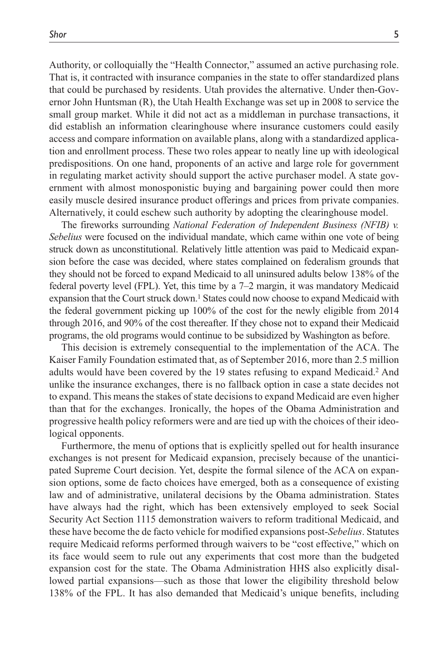Authority, or colloquially the "Health Connector," assumed an active purchasing role. That is, it contracted with insurance companies in the state to offer standardized plans that could be purchased by residents. Utah provides the alternative. Under then-Governor John Huntsman (R), the Utah Health Exchange was set up in 2008 to service the small group market. While it did not act as a middleman in purchase transactions, it did establish an information clearinghouse where insurance customers could easily access and compare information on available plans, along with a standardized application and enrollment process. These two roles appear to neatly line up with ideological predispositions. On one hand, proponents of an active and large role for government in regulating market activity should support the active purchaser model. A state government with almost monosponistic buying and bargaining power could then more easily muscle desired insurance product offerings and prices from private companies. Alternatively, it could eschew such authority by adopting the clearinghouse model.

The fireworks surrounding *National Federation of Independent Business (NFIB) v. Sebelius* were focused on the individual mandate, which came within one vote of being struck down as unconstitutional. Relatively little attention was paid to Medicaid expansion before the case was decided, where states complained on federalism grounds that they should not be forced to expand Medicaid to all uninsured adults below 138% of the federal poverty level (FPL). Yet, this time by a 7–2 margin, it was mandatory Medicaid expansion that the Court struck down.1 States could now choose to expand Medicaid with the federal government picking up 100% of the cost for the newly eligible from 2014 through 2016, and 90% of the cost thereafter. If they chose not to expand their Medicaid programs, the old programs would continue to be subsidized by Washington as before.

This decision is extremely consequential to the implementation of the ACA. The Kaiser Family Foundation estimated that, as of September 2016, more than 2.5 million adults would have been covered by the 19 states refusing to expand Medicaid.2 And unlike the insurance exchanges, there is no fallback option in case a state decides not to expand. This means the stakes of state decisions to expand Medicaid are even higher than that for the exchanges. Ironically, the hopes of the Obama Administration and progressive health policy reformers were and are tied up with the choices of their ideological opponents.

Furthermore, the menu of options that is explicitly spelled out for health insurance exchanges is not present for Medicaid expansion, precisely because of the unanticipated Supreme Court decision. Yet, despite the formal silence of the ACA on expansion options, some de facto choices have emerged, both as a consequence of existing law and of administrative, unilateral decisions by the Obama administration. States have always had the right, which has been extensively employed to seek Social Security Act Section 1115 demonstration waivers to reform traditional Medicaid, and these have become the de facto vehicle for modified expansions post-*Sebelius*. Statutes require Medicaid reforms performed through waivers to be "cost effective," which on its face would seem to rule out any experiments that cost more than the budgeted expansion cost for the state. The Obama Administration HHS also explicitly disallowed partial expansions—such as those that lower the eligibility threshold below 138% of the FPL. It has also demanded that Medicaid's unique benefits, including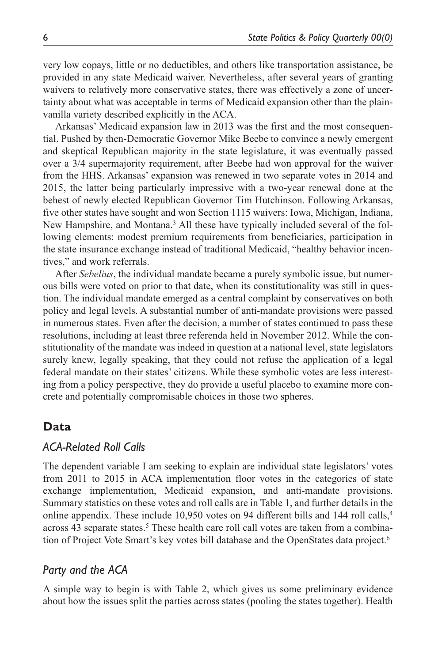very low copays, little or no deductibles, and others like transportation assistance, be provided in any state Medicaid waiver. Nevertheless, after several years of granting waivers to relatively more conservative states, there was effectively a zone of uncertainty about what was acceptable in terms of Medicaid expansion other than the plainvanilla variety described explicitly in the ACA.

Arkansas' Medicaid expansion law in 2013 was the first and the most consequential. Pushed by then-Democratic Governor Mike Beebe to convince a newly emergent and skeptical Republican majority in the state legislature, it was eventually passed over a 3/4 supermajority requirement, after Beebe had won approval for the waiver from the HHS. Arkansas' expansion was renewed in two separate votes in 2014 and 2015, the latter being particularly impressive with a two-year renewal done at the behest of newly elected Republican Governor Tim Hutchinson. Following Arkansas, five other states have sought and won Section 1115 waivers: Iowa, Michigan, Indiana, New Hampshire, and Montana.3 All these have typically included several of the following elements: modest premium requirements from beneficiaries, participation in the state insurance exchange instead of traditional Medicaid, "healthy behavior incentives," and work referrals.

After *Sebelius*, the individual mandate became a purely symbolic issue, but numerous bills were voted on prior to that date, when its constitutionality was still in question. The individual mandate emerged as a central complaint by conservatives on both policy and legal levels. A substantial number of anti-mandate provisions were passed in numerous states. Even after the decision, a number of states continued to pass these resolutions, including at least three referenda held in November 2012. While the constitutionality of the mandate was indeed in question at a national level, state legislators surely knew, legally speaking, that they could not refuse the application of a legal federal mandate on their states' citizens. While these symbolic votes are less interesting from a policy perspective, they do provide a useful placebo to examine more concrete and potentially compromisable choices in those two spheres.

## **Data**

## *ACA-Related Roll Calls*

The dependent variable I am seeking to explain are individual state legislators' votes from 2011 to 2015 in ACA implementation floor votes in the categories of state exchange implementation, Medicaid expansion, and anti-mandate provisions. Summary statistics on these votes and roll calls are in Table 1, and further details in the online appendix. These include 10,950 votes on 94 different bills and 144 roll calls, $4$ across 43 separate states.<sup>5</sup> These health care roll call votes are taken from a combination of Project Vote Smart's key votes bill database and the OpenStates data project.6

## *Party and the ACA*

A simple way to begin is with Table 2, which gives us some preliminary evidence about how the issues split the parties across states (pooling the states together). Health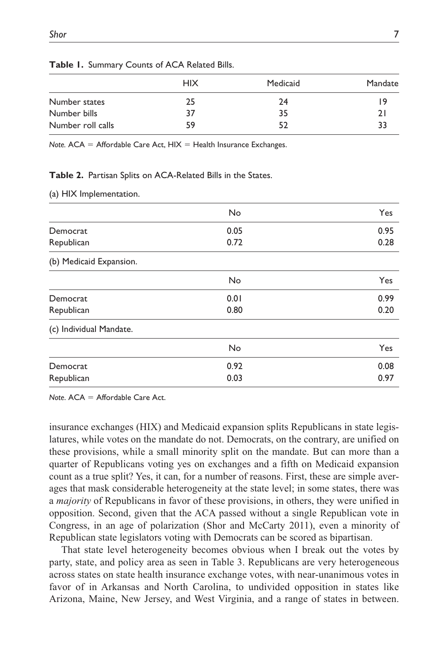|                   | <b>HIX</b> | Medicaid | Mandate |
|-------------------|------------|----------|---------|
| Number states     | 25         | 24       | 19      |
| Number bills      | 37         | 35       |         |
| Number roll calls | 59         | 52       | 22      |

#### **Table 1.** Summary Counts of ACA Related Bills.

*Note.*  $ACA = Affordable Care Act, HIX = Health Insurance Exchanges.$ 

#### **Table 2.** Partisan Splits on ACA-Related Bills in the States.

(a) HIX Implementation.

|                         | No   | Yes  |
|-------------------------|------|------|
| Democrat                | 0.05 | 0.95 |
| Republican              | 0.72 | 0.28 |
| (b) Medicaid Expansion. |      |      |
|                         | No   | Yes  |
| Democrat                | 0.01 | 0.99 |
| Republican              | 0.80 | 0.20 |
| (c) Individual Mandate. |      |      |
|                         | No   | Yes  |
| Democrat                | 0.92 | 0.08 |
| Republican              | 0.03 | 0.97 |

*Note*. ACA = Affordable Care Act.

insurance exchanges (HIX) and Medicaid expansion splits Republicans in state legislatures, while votes on the mandate do not. Democrats, on the contrary, are unified on these provisions, while a small minority split on the mandate. But can more than a quarter of Republicans voting yes on exchanges and a fifth on Medicaid expansion count as a true split? Yes, it can, for a number of reasons. First, these are simple averages that mask considerable heterogeneity at the state level; in some states, there was a *majority* of Republicans in favor of these provisions, in others, they were unified in opposition. Second, given that the ACA passed without a single Republican vote in Congress, in an age of polarization (Shor and McCarty 2011), even a minority of Republican state legislators voting with Democrats can be scored as bipartisan.

That state level heterogeneity becomes obvious when I break out the votes by party, state, and policy area as seen in Table 3. Republicans are very heterogeneous across states on state health insurance exchange votes, with near-unanimous votes in favor of in Arkansas and North Carolina, to undivided opposition in states like Arizona, Maine, New Jersey, and West Virginia, and a range of states in between.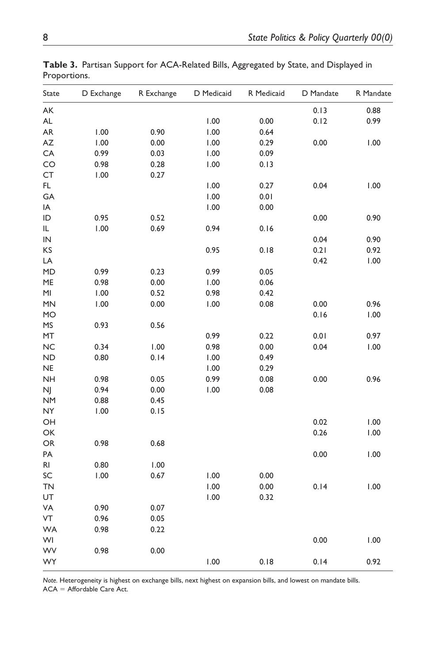| State         | D Exchange | R Exchange | D Medicaid | R Medicaid | D Mandate | R Mandate |
|---------------|------------|------------|------------|------------|-----------|-----------|
| АK            |            |            |            |            | 0.13      | 0.88      |
| AL            |            |            | 1.00       | 0.00       | 0.12      | 0.99      |
| AR.           | 1.00       | 0.90       | 1.00       | 0.64       |           |           |
| AZ            | 1.00       | 0.00       | 1.00       | 0.29       | 0.00      | 1.00      |
| CA            | 0.99       | 0.03       | 1.00       | 0.09       |           |           |
| CO            | 0.98       | 0.28       | 1.00       | 0.13       |           |           |
| CT            | 1.00       | 0.27       |            |            |           |           |
| FL.           |            |            | 1.00       | 0.27       | 0.04      | 1.00      |
| GA            |            |            | 1.00       | 0.01       |           |           |
| IA            |            |            | 1.00       | 0.00       |           |           |
| ID            | 0.95       | 0.52       |            |            | 0.00      | 0.90      |
| IL            | 1.00       | 0.69       | 0.94       | 0.16       |           |           |
| ${\sf IN}$    |            |            |            |            | 0.04      | 0.90      |
| ΚS            |            |            | 0.95       | 0.18       | 0.21      | 0.92      |
| LA            |            |            |            |            | 0.42      | 1.00      |
| MD            | 0.99       | 0.23       | 0.99       | 0.05       |           |           |
| ME            | 0.98       | 0.00       | 1.00       | 0.06       |           |           |
| MI            | 1.00       | 0.52       | 0.98       | 0.42       |           |           |
| MN            | 1.00       | 0.00       | 1.00       | 0.08       | 0.00      | 0.96      |
| MO            |            |            |            |            | 0.16      | 1.00      |
| MS            | 0.93       | 0.56       |            |            |           |           |
| MT            |            |            | 0.99       | 0.22       | 0.01      | 0.97      |
| <b>NC</b>     | 0.34       | 1.00       | 0.98       | 0.00       | 0.04      | 1.00      |
| ND            | 0.80       | 0.14       | 1.00       | 0.49       |           |           |
| NE            |            |            | 1.00       | 0.29       |           |           |
| <b>NH</b>     | 0.98       | 0.05       | 0.99       | 0.08       | 0.00      | 0.96      |
| NJ            | 0.94       | 0.00       | 1.00       | 0.08       |           |           |
| <b>NM</b>     | 0.88       | 0.45       |            |            |           |           |
| NY            | 1.00       | 0.15       |            |            |           |           |
| OH            |            |            |            |            | 0.02      | 1.00      |
| OK            |            |            |            |            | 0.26      | 1.00      |
| ${\sf OR}$    | 0.98       | 0.68       |            |            |           |           |
| PA            |            |            |            |            | 0.00      | 1.00      |
| $\mathsf{RI}$ | 0.80       | 1.00       |            |            |           |           |
| SC            | 1.00       | 0.67       | 1.00       | 0.00       |           |           |
| TN            |            |            | 1.00       | 0.00       | 0.14      | 1.00      |
| UT            |            |            | 1.00       | 0.32       |           |           |
| VA            | 0.90       | 0.07       |            |            |           |           |
| VT            | 0.96       | 0.05       |            |            |           |           |
| <b>WA</b>     | 0.98       | 0.22       |            |            |           |           |
| WI            |            |            |            |            | 0.00      | 1.00      |
| WV            | 0.98       | 0.00       |            |            |           |           |
| WY            |            |            | 1.00       | 0.18       | 0.14      | 0.92      |

**Table 3.** Partisan Support for ACA-Related Bills, Aggregated by State, and Displayed in Proportions.

*Note.* Heterogeneity is highest on exchange bills, next highest on expansion bills, and lowest on mandate bills. ACA = Affordable Care Act.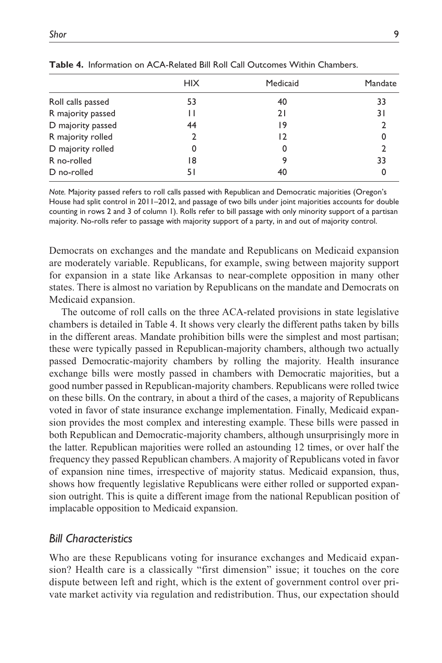|                   | <b>HIX</b> | Medicaid | Mandate |
|-------------------|------------|----------|---------|
| Roll calls passed | 53         | 40       | 33      |
| R majority passed | Н          | 21       | 31      |
| D majority passed | 44         | ۱9       |         |
| R majority rolled |            | 12       |         |
| D majority rolled | 0          | 0        |         |
| R no-rolled       | 18         |          | 33      |
| D no-rolled       | 51         | 40       |         |

**Table 4.** Information on ACA-Related Bill Roll Call Outcomes Within Chambers.

*Note.* Majority passed refers to roll calls passed with Republican and Democratic majorities (Oregon's House had split control in 2011–2012, and passage of two bills under joint majorities accounts for double counting in rows 2 and 3 of column 1). Rolls refer to bill passage with only minority support of a partisan majority. No-rolls refer to passage with majority support of a party, in and out of majority control.

Democrats on exchanges and the mandate and Republicans on Medicaid expansion are moderately variable. Republicans, for example, swing between majority support for expansion in a state like Arkansas to near-complete opposition in many other states. There is almost no variation by Republicans on the mandate and Democrats on Medicaid expansion.

The outcome of roll calls on the three ACA-related provisions in state legislative chambers is detailed in Table 4. It shows very clearly the different paths taken by bills in the different areas. Mandate prohibition bills were the simplest and most partisan; these were typically passed in Republican-majority chambers, although two actually passed Democratic-majority chambers by rolling the majority. Health insurance exchange bills were mostly passed in chambers with Democratic majorities, but a good number passed in Republican-majority chambers. Republicans were rolled twice on these bills. On the contrary, in about a third of the cases, a majority of Republicans voted in favor of state insurance exchange implementation. Finally, Medicaid expansion provides the most complex and interesting example. These bills were passed in both Republican and Democratic-majority chambers, although unsurprisingly more in the latter. Republican majorities were rolled an astounding 12 times, or over half the frequency they passed Republican chambers. A majority of Republicans voted in favor of expansion nine times, irrespective of majority status. Medicaid expansion, thus, shows how frequently legislative Republicans were either rolled or supported expansion outright. This is quite a different image from the national Republican position of implacable opposition to Medicaid expansion.

## *Bill Characteristics*

Who are these Republicans voting for insurance exchanges and Medicaid expansion? Health care is a classically "first dimension" issue; it touches on the core dispute between left and right, which is the extent of government control over private market activity via regulation and redistribution. Thus, our expectation should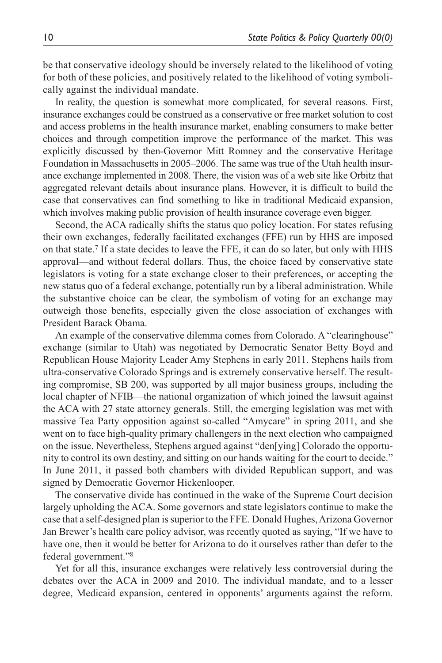be that conservative ideology should be inversely related to the likelihood of voting for both of these policies, and positively related to the likelihood of voting symbolically against the individual mandate.

In reality, the question is somewhat more complicated, for several reasons. First, insurance exchanges could be construed as a conservative or free market solution to cost and access problems in the health insurance market, enabling consumers to make better choices and through competition improve the performance of the market. This was explicitly discussed by then-Governor Mitt Romney and the conservative Heritage Foundation in Massachusetts in 2005–2006. The same was true of the Utah health insurance exchange implemented in 2008. There, the vision was of a web site like Orbitz that aggregated relevant details about insurance plans. However, it is difficult to build the case that conservatives can find something to like in traditional Medicaid expansion, which involves making public provision of health insurance coverage even bigger.

Second, the ACA radically shifts the status quo policy location. For states refusing their own exchanges, federally facilitated exchanges (FFE) run by HHS are imposed on that state.7 If a state decides to leave the FFE, it can do so later, but only with HHS approval—and without federal dollars. Thus, the choice faced by conservative state legislators is voting for a state exchange closer to their preferences, or accepting the new status quo of a federal exchange, potentially run by a liberal administration. While the substantive choice can be clear, the symbolism of voting for an exchange may outweigh those benefits, especially given the close association of exchanges with President Barack Obama.

An example of the conservative dilemma comes from Colorado. A "clearinghouse" exchange (similar to Utah) was negotiated by Democratic Senator Betty Boyd and Republican House Majority Leader Amy Stephens in early 2011. Stephens hails from ultra-conservative Colorado Springs and is extremely conservative herself. The resulting compromise, SB 200, was supported by all major business groups, including the local chapter of NFIB—the national organization of which joined the lawsuit against the ACA with 27 state attorney generals. Still, the emerging legislation was met with massive Tea Party opposition against so-called "Amycare" in spring 2011, and she went on to face high-quality primary challengers in the next election who campaigned on the issue. Nevertheless, Stephens argued against "den[ying] Colorado the opportunity to control its own destiny, and sitting on our hands waiting for the court to decide." In June 2011, it passed both chambers with divided Republican support, and was signed by Democratic Governor Hickenlooper.

The conservative divide has continued in the wake of the Supreme Court decision largely upholding the ACA. Some governors and state legislators continue to make the case that a self-designed plan is superior to the FFE. Donald Hughes, Arizona Governor Jan Brewer's health care policy advisor, was recently quoted as saying, "If we have to have one, then it would be better for Arizona to do it ourselves rather than defer to the federal government."8

Yet for all this, insurance exchanges were relatively less controversial during the debates over the ACA in 2009 and 2010. The individual mandate, and to a lesser degree, Medicaid expansion, centered in opponents' arguments against the reform.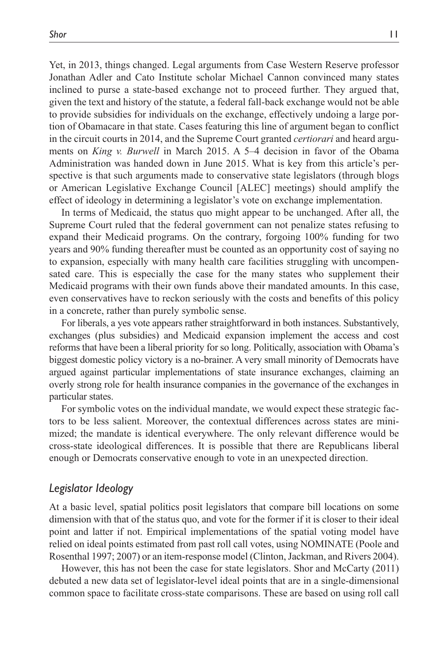Yet, in 2013, things changed. Legal arguments from Case Western Reserve professor Jonathan Adler and Cato Institute scholar Michael Cannon convinced many states inclined to purse a state-based exchange not to proceed further. They argued that, given the text and history of the statute, a federal fall-back exchange would not be able to provide subsidies for individuals on the exchange, effectively undoing a large portion of Obamacare in that state. Cases featuring this line of argument began to conflict in the circuit courts in 2014, and the Supreme Court granted *certiorari* and heard arguments on *King v. Burwell* in March 2015. A 5–4 decision in favor of the Obama Administration was handed down in June 2015. What is key from this article's perspective is that such arguments made to conservative state legislators (through blogs or American Legislative Exchange Council [ALEC] meetings) should amplify the effect of ideology in determining a legislator's vote on exchange implementation.

In terms of Medicaid, the status quo might appear to be unchanged. After all, the Supreme Court ruled that the federal government can not penalize states refusing to expand their Medicaid programs. On the contrary, forgoing 100% funding for two years and 90% funding thereafter must be counted as an opportunity cost of saying no to expansion, especially with many health care facilities struggling with uncompensated care. This is especially the case for the many states who supplement their Medicaid programs with their own funds above their mandated amounts. In this case, even conservatives have to reckon seriously with the costs and benefits of this policy in a concrete, rather than purely symbolic sense.

For liberals, a yes vote appears rather straightforward in both instances. Substantively, exchanges (plus subsidies) and Medicaid expansion implement the access and cost reforms that have been a liberal priority for so long. Politically, association with Obama's biggest domestic policy victory is a no-brainer. A very small minority of Democrats have argued against particular implementations of state insurance exchanges, claiming an overly strong role for health insurance companies in the governance of the exchanges in particular states.

For symbolic votes on the individual mandate, we would expect these strategic factors to be less salient. Moreover, the contextual differences across states are minimized; the mandate is identical everywhere. The only relevant difference would be cross-state ideological differences. It is possible that there are Republicans liberal enough or Democrats conservative enough to vote in an unexpected direction.

### *Legislator Ideology*

At a basic level, spatial politics posit legislators that compare bill locations on some dimension with that of the status quo, and vote for the former if it is closer to their ideal point and latter if not. Empirical implementations of the spatial voting model have relied on ideal points estimated from past roll call votes, using NOMINATE (Poole and Rosenthal 1997; 2007) or an item-response model (Clinton, Jackman, and Rivers 2004).

However, this has not been the case for state legislators. Shor and McCarty (2011) debuted a new data set of legislator-level ideal points that are in a single-dimensional common space to facilitate cross-state comparisons. These are based on using roll call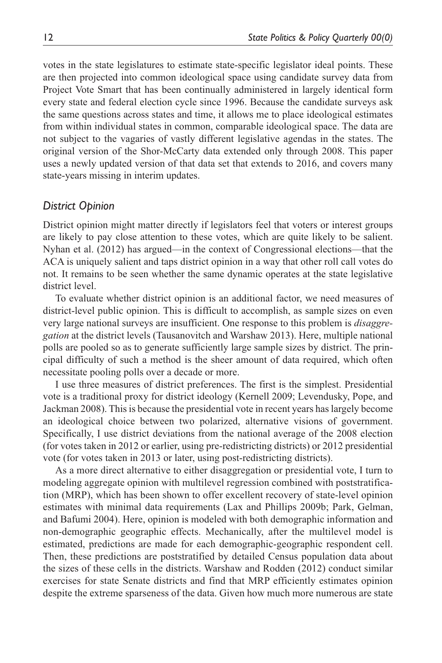votes in the state legislatures to estimate state-specific legislator ideal points. These are then projected into common ideological space using candidate survey data from Project Vote Smart that has been continually administered in largely identical form every state and federal election cycle since 1996. Because the candidate surveys ask the same questions across states and time, it allows me to place ideological estimates from within individual states in common, comparable ideological space. The data are not subject to the vagaries of vastly different legislative agendas in the states. The original version of the Shor-McCarty data extended only through 2008. This paper uses a newly updated version of that data set that extends to 2016, and covers many state-years missing in interim updates.

## *District Opinion*

District opinion might matter directly if legislators feel that voters or interest groups are likely to pay close attention to these votes, which are quite likely to be salient. Nyhan et al. (2012) has argued—in the context of Congressional elections—that the ACA is uniquely salient and taps district opinion in a way that other roll call votes do not. It remains to be seen whether the same dynamic operates at the state legislative district level.

To evaluate whether district opinion is an additional factor, we need measures of district-level public opinion. This is difficult to accomplish, as sample sizes on even very large national surveys are insufficient. One response to this problem is *disaggregation* at the district levels (Tausanovitch and Warshaw 2013). Here, multiple national polls are pooled so as to generate sufficiently large sample sizes by district. The principal difficulty of such a method is the sheer amount of data required, which often necessitate pooling polls over a decade or more.

I use three measures of district preferences. The first is the simplest. Presidential vote is a traditional proxy for district ideology (Kernell 2009; Levendusky, Pope, and Jackman 2008). This is because the presidential vote in recent years has largely become an ideological choice between two polarized, alternative visions of government. Specifically, I use district deviations from the national average of the 2008 election (for votes taken in 2012 or earlier, using pre-redistricting districts) or 2012 presidential vote (for votes taken in 2013 or later, using post-redistricting districts).

As a more direct alternative to either disaggregation or presidential vote, I turn to modeling aggregate opinion with multilevel regression combined with poststratification (MRP), which has been shown to offer excellent recovery of state-level opinion estimates with minimal data requirements (Lax and Phillips 2009b; Park, Gelman, and Bafumi 2004). Here, opinion is modeled with both demographic information and non-demographic geographic effects. Mechanically, after the multilevel model is estimated, predictions are made for each demographic-geographic respondent cell. Then, these predictions are poststratified by detailed Census population data about the sizes of these cells in the districts. Warshaw and Rodden (2012) conduct similar exercises for state Senate districts and find that MRP efficiently estimates opinion despite the extreme sparseness of the data. Given how much more numerous are state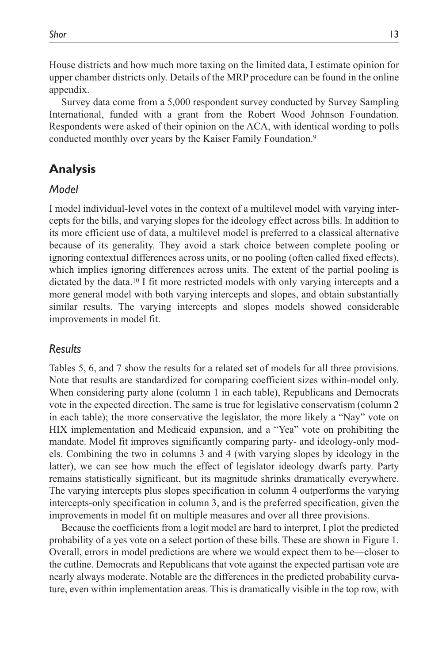House districts and how much more taxing on the limited data, I estimate opinion for upper chamber districts only. Details of the MRP procedure can be found in the online appendix.

Survey data come from a 5,000 respondent survey conducted by Survey Sampling International, funded with a grant from the Robert Wood Johnson Foundation. Respondents were asked of their opinion on the ACA, with identical wording to polls conducted monthly over years by the Kaiser Family Foundation.9

# **Analysis**

## *Model*

I model individual-level votes in the context of a multilevel model with varying intercepts for the bills, and varying slopes for the ideology effect across bills. In addition to its more efficient use of data, a multilevel model is preferred to a classical alternative because of its generality. They avoid a stark choice between complete pooling or ignoring contextual differences across units, or no pooling (often called fixed effects), which implies ignoring differences across units. The extent of the partial pooling is dictated by the data.10 I fit more restricted models with only varying intercepts and a more general model with both varying intercepts and slopes, and obtain substantially similar results. The varying intercepts and slopes models showed considerable improvements in model fit.

## *Results*

Tables 5, 6, and 7 show the results for a related set of models for all three provisions. Note that results are standardized for comparing coefficient sizes within-model only. When considering party alone (column 1 in each table), Republicans and Democrats vote in the expected direction. The same is true for legislative conservatism (column 2 in each table); the more conservative the legislator, the more likely a "Nay" vote on HIX implementation and Medicaid expansion, and a "Yea" vote on prohibiting the mandate. Model fit improves significantly comparing party- and ideology-only models. Combining the two in columns 3 and 4 (with varying slopes by ideology in the latter), we can see how much the effect of legislator ideology dwarfs party. Party remains statistically significant, but its magnitude shrinks dramatically everywhere. The varying intercepts plus slopes specification in column 4 outperforms the varying intercepts-only specification in column 3, and is the preferred specification, given the improvements in model fit on multiple measures and over all three provisions.

Because the coefficients from a logit model are hard to interpret, I plot the predicted probability of a yes vote on a select portion of these bills. These are shown in Figure 1. Overall, errors in model predictions are where we would expect them to be—closer to the cutline. Democrats and Republicans that vote against the expected partisan vote are nearly always moderate. Notable are the differences in the predicted probability curvature, even within implementation areas. This is dramatically visible in the top row, with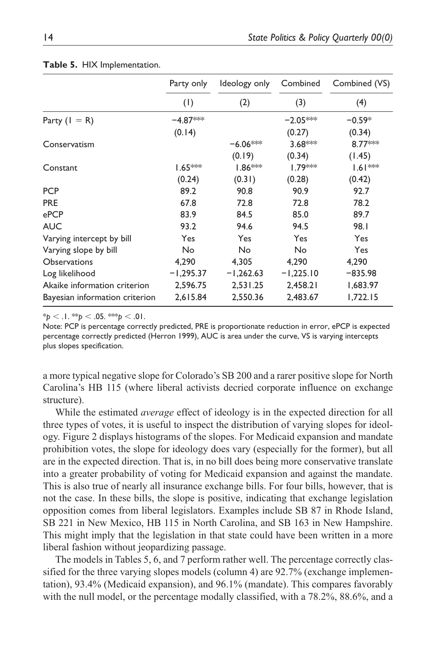|                                | Party only  | Ideology only       | Combined            | Combined (VS) |
|--------------------------------|-------------|---------------------|---------------------|---------------|
|                                | (1)         | (2)                 | (3)                 | (4)           |
| Party $(I = R)$                | $-4.87***$  |                     | $-2.05***$          | $-0.59*$      |
|                                | (0.14)      |                     | (0.27)              | (0.34)        |
| Conservatism                   |             | $-6.06***$          | 3.68***             | 8.77***       |
|                                |             | (0.19)              | (0.34)              | (1.45)        |
| Constant                       | $1.65***$   | 1.86 <sup>***</sup> | 1.79 <sup>*</sup> * | $1.61***$     |
|                                | (0.24)      | (0.31)              | (0.28)              | (0.42)        |
| <b>PCP</b>                     | 89.2        | 90.8                | 90.9                | 92.7          |
| <b>PRE</b>                     | 67.8        | 72.8                | 72.8                | 78.2          |
| ePCP                           | 83.9        | 84.5                | 85.0                | 89.7          |
| <b>AUC</b>                     | 93.2        | 94.6                | 94.5                | 98.I          |
| Varying intercept by bill      | Yes         | Yes                 | Yes                 | Yes           |
| Varying slope by bill          | No.         | No                  | No                  | Yes           |
| <b>Observations</b>            | 4,290       | 4,305               | 4,290               | 4,290         |
| Log likelihood                 | $-1,295.37$ | $-1,262.63$         | $-1,225.10$         | $-835.98$     |
| Akaike information criterion   | 2,596.75    | 2,531.25            | 2,458.21            | 1,683.97      |
| Bayesian information criterion | 2,615.84    | 2,550.36            | 2.483.67            | 1,722.15      |

#### **Table 5.** HIX Implementation.

 $*_{p}$  < .1.  $*_{p}$  < .05.  $*_{p}$  < .01.

Note: PCP is percentage correctly predicted, PRE is proportionate reduction in error, ePCP is expected percentage correctly predicted (Herron 1999), AUC is area under the curve, VS is varying intercepts plus slopes specification.

a more typical negative slope for Colorado's SB 200 and a rarer positive slope for North Carolina's HB 115 (where liberal activists decried corporate influence on exchange structure).

While the estimated *average* effect of ideology is in the expected direction for all three types of votes, it is useful to inspect the distribution of varying slopes for ideology. Figure 2 displays histograms of the slopes. For Medicaid expansion and mandate prohibition votes, the slope for ideology does vary (especially for the former), but all are in the expected direction. That is, in no bill does being more conservative translate into a greater probability of voting for Medicaid expansion and against the mandate. This is also true of nearly all insurance exchange bills. For four bills, however, that is not the case. In these bills, the slope is positive, indicating that exchange legislation opposition comes from liberal legislators. Examples include SB 87 in Rhode Island, SB 221 in New Mexico, HB 115 in North Carolina, and SB 163 in New Hampshire. This might imply that the legislation in that state could have been written in a more liberal fashion without jeopardizing passage.

The models in Tables 5, 6, and 7 perform rather well. The percentage correctly classified for the three varying slopes models (column 4) are 92.7% (exchange implementation), 93.4% (Medicaid expansion), and 96.1% (mandate). This compares favorably with the null model, or the percentage modally classified, with a 78.2%, 88.6%, and a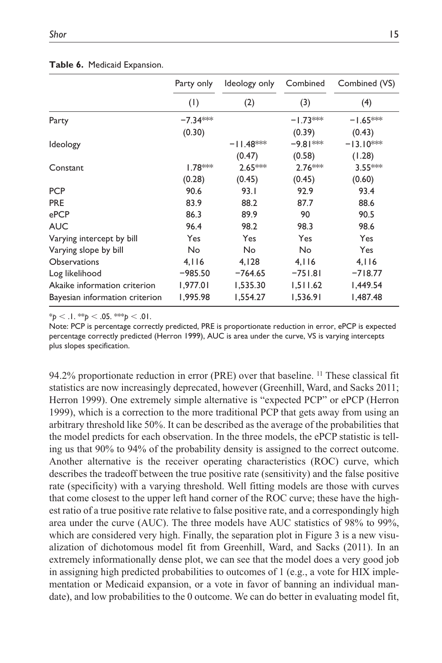#### **Table 6.** Medicaid Expansion.

|                                | Party only | Ideology only |            | Combined (VS) |
|--------------------------------|------------|---------------|------------|---------------|
|                                | (1)        | (2)           | (3)        | (4)           |
| Party                          | $-7.34***$ |               | $-1.73***$ | $-1.65***$    |
|                                | (0.30)     |               | (0.39)     | (0.43)        |
| <b>Ideology</b>                |            | $-11.48***$   | -9.81 ***  | $-13.10***$   |
|                                |            | (0.47)        | (0.58)     | (1.28)        |
| Constant                       | $1.78***$  | $2.65***$     | 2.76***    | $3.55***$     |
|                                | (0.28)     | (0.45)        | (0.45)     | (0.60)        |
| <b>PCP</b>                     | 90.6       | 93.1          | 92.9       | 93.4          |
| <b>PRE</b>                     | 83.9       | 88.2          | 87.7       | 88.6          |
| ePCP                           | 86.3       | 89.9          | 90         | 90.5          |
| <b>AUC</b>                     | 96.4       | 98.2          | 98.3       | 98.6          |
| Varying intercept by bill      | Yes        | Yes           | Yes        | Yes           |
| Varying slope by bill          | No         | No            | No         | Yes           |
| Observations                   | 4.116      | 4,128         | 4.116      | 4.116         |
| Log likelihood                 | $-985.50$  | $-764.65$     | $-751.81$  | $-718.77$     |
| Akaike information criterion   | 1,977.01   | 1,535.30      | 1,511.62   | I,449.54      |
| Bayesian information criterion | 1,995.98   | 1,554.27      | 1,536.91   | 1,487.48      |

 $*_{p}$  < .1.  $*_{p}$  < .05.  $*_{p}$  < .01.

Note: PCP is percentage correctly predicted, PRE is proportionate reduction in error, ePCP is expected percentage correctly predicted (Herron 1999), AUC is area under the curve, VS is varying intercepts plus slopes specification.

94.2% proportionate reduction in error (PRE) over that baseline. 11 These classical fit statistics are now increasingly deprecated, however (Greenhill, Ward, and Sacks 2011; Herron 1999). One extremely simple alternative is "expected PCP" or ePCP (Herron 1999), which is a correction to the more traditional PCP that gets away from using an arbitrary threshold like 50%. It can be described as the average of the probabilities that the model predicts for each observation. In the three models, the ePCP statistic is telling us that 90% to 94% of the probability density is assigned to the correct outcome. Another alternative is the receiver operating characteristics (ROC) curve, which describes the tradeoff between the true positive rate (sensitivity) and the false positive rate (specificity) with a varying threshold. Well fitting models are those with curves that come closest to the upper left hand corner of the ROC curve; these have the highest ratio of a true positive rate relative to false positive rate, and a correspondingly high area under the curve (AUC). The three models have AUC statistics of 98% to 99%, which are considered very high. Finally, the separation plot in Figure 3 is a new visualization of dichotomous model fit from Greenhill, Ward, and Sacks (2011). In an extremely informationally dense plot, we can see that the model does a very good job in assigning high predicted probabilities to outcomes of 1 (e.g., a vote for HIX implementation or Medicaid expansion, or a vote in favor of banning an individual mandate), and low probabilities to the 0 outcome. We can do better in evaluating model fit,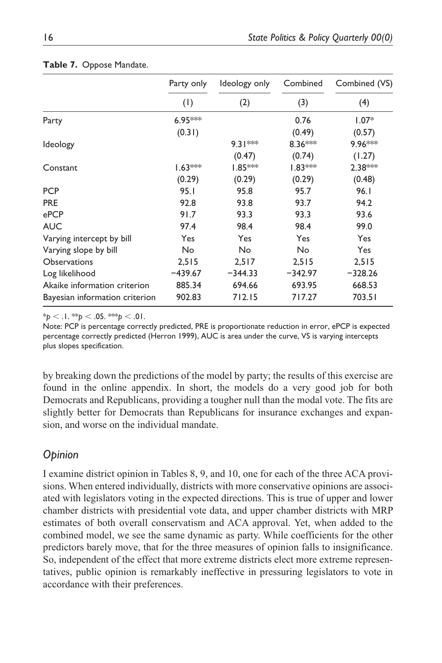|                                | Party only | Ideology only | Combined  | Combined (VS) |  |
|--------------------------------|------------|---------------|-----------|---------------|--|
|                                | (1)        | (2)           | (3)       | (4)           |  |
| Party                          | 6.95 ***   |               | 0.76      | $1.07*$       |  |
|                                | (0.31)     |               | (0.49)    | (0.57)        |  |
| <b>Ideology</b>                |            | $9.31***$     | $8.36***$ | 9.96 ***      |  |
|                                |            | (0.47)        | (0.74)    | (1.27)        |  |
| Constant                       | $1.63***$  | $1.85***$     | $1.83***$ | $2.38***$     |  |
|                                | (0.29)     | (0.29)        | (0.29)    | (0.48)        |  |
| <b>PCP</b>                     | 95.1       | 95.8          | 95.7      | 96.1          |  |
| <b>PRE</b>                     | 92.8       | 93.8          | 93.7      | 94.2          |  |
| ePCP                           | 91.7       | 93.3          | 93.3      | 93.6          |  |
| <b>AUC</b>                     | 97.4       | 98.4          | 98.4      | 99.0          |  |
| Varying intercept by bill      | Yes        | Yes           | Yes       | Yes           |  |
| Varying slope by bill          | No         | No            | No        | Yes           |  |
| <b>Observations</b>            | 2,515      | 2,517         | 2,515     | 2,515         |  |
| Log likelihood                 | $-439.67$  | $-344.33$     | $-342.97$ | $-328.26$     |  |
| Akaike information criterion   | 885.34     | 694.66        | 693.95    | 668.53        |  |
| Bayesian information criterion | 902.83     | 712.15        | 717.27    | 703.51        |  |

#### **Table 7.** Oppose Mandate.

 $*_{p}$  < .1.  $*_{p}$  < .05.  $*_{p}$  < .01.

Note: PCP is percentage correctly predicted, PRE is proportionate reduction in error, ePCP is expected percentage correctly predicted (Herron 1999), AUC is area under the curve, VS is varying intercepts plus slopes specification.

by breaking down the predictions of the model by party; the results of this exercise are found in the online appendix. In short, the models do a very good job for both Democrats and Republicans, providing a tougher null than the modal vote. The fits are slightly better for Democrats than Republicans for insurance exchanges and expansion, and worse on the individual mandate.

## *Opinion*

I examine district opinion in Tables 8, 9, and 10, one for each of the three ACA provisions. When entered individually, districts with more conservative opinions are associated with legislators voting in the expected directions. This is true of upper and lower chamber districts with presidential vote data, and upper chamber districts with MRP estimates of both overall conservatism and ACA approval. Yet, when added to the combined model, we see the same dynamic as party. While coefficients for the other predictors barely move, that for the three measures of opinion falls to insignificance. So, independent of the effect that more extreme districts elect more extreme representatives, public opinion is remarkably ineffective in pressuring legislators to vote in accordance with their preferences.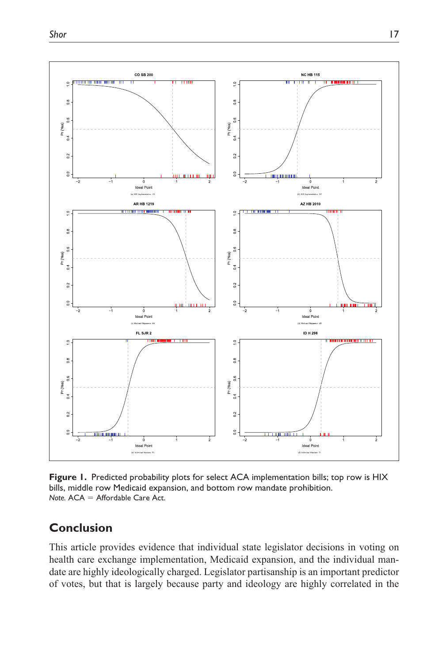

**Figure 1.** Predicted probability plots for select ACA implementation bills; top row is HIX bills, middle row Medicaid expansion, and bottom row mandate prohibition. *Note.* ACA = Affordable Care Act.

## **Conclusion**

This article provides evidence that individual state legislator decisions in voting on health care exchange implementation, Medicaid expansion, and the individual mandate are highly ideologically charged. Legislator partisanship is an important predictor of votes, but that is largely because party and ideology are highly correlated in the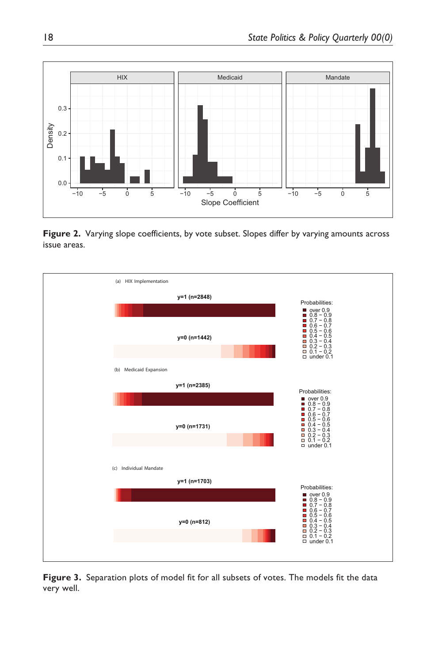

**Figure 2.** Varying slope coefficients, by vote subset. Slopes differ by varying amounts across issue areas.



**Figure 3.** Separation plots of model fit for all subsets of votes. The models fit the data very well.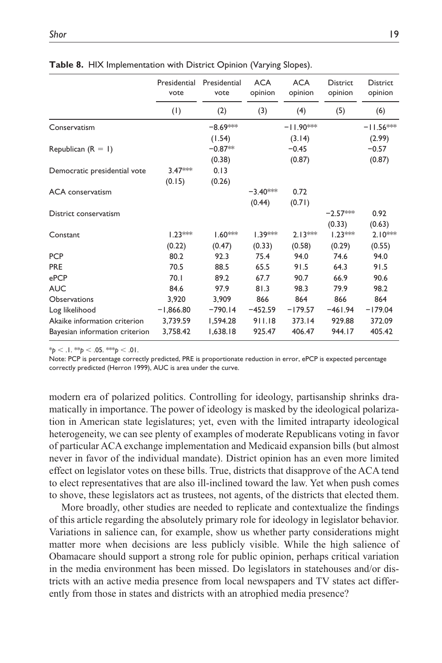|                                | Presidential<br>vote | Presidential<br>vote | <b>ACA</b><br>opinion | <b>ACA</b><br>opinion | District<br>opinion | <b>District</b><br>opinion |
|--------------------------------|----------------------|----------------------|-----------------------|-----------------------|---------------------|----------------------------|
|                                | (1)                  | (2)                  | (3)                   | (4)                   | (5)                 | (6)                        |
| Conservatism                   |                      | $-8.69***$           |                       | $-11.90***$           |                     | $-11.56***$                |
|                                |                      | (1.54)               |                       | (3.14)                |                     | (2.99)                     |
| Republican $(R = 1)$           |                      | $-0.87**$            |                       | $-0.45$               |                     | $-0.57$                    |
|                                |                      | (0.38)               |                       | (0.87)                |                     | (0.87)                     |
| Democratic presidential vote   | $3.47***$            | 0.13                 |                       |                       |                     |                            |
|                                | (0.15)               | (0.26)               |                       |                       |                     |                            |
| <b>ACA</b> conservatism        |                      |                      | $-3.40***$            | 0.72                  |                     |                            |
|                                |                      |                      | (0.44)                | (0.71)                |                     |                            |
| District conservatism          |                      |                      |                       |                       | $-2.57***$          | 0.92                       |
|                                |                      |                      |                       |                       | (0.33)              | (0.63)                     |
| Constant                       | $1.23***$            | $1.60***$            | $1.39***$             | $2.13***$             | $1.23***$           | $2.10***$                  |
|                                | (0.22)               | (0.47)               | (0.33)                | (0.58)                | (0.29)              | (0.55)                     |
| <b>PCP</b>                     | 80.2                 | 92.3                 | 75.4                  | 94.0                  | 74.6                | 94.0                       |
| <b>PRE</b>                     | 70.5                 | 88.5                 | 65.5                  | 91.5                  | 64.3                | 91.5                       |
| ePCP                           | 70.1                 | 89.2                 | 67.7                  | 90.7                  | 66.9                | 90.6                       |
| <b>AUC</b>                     | 84.6                 | 97.9                 | 81.3                  | 98.3                  | 79.9                | 98.2                       |
| Observations                   | 3.920                | 3.909                | 866                   | 864                   | 866                 | 864                        |
| Log likelihood                 | $-1,866.80$          | $-790.14$            | $-452.59$             | $-179.57$             | $-461.94$           | $-179.04$                  |
| Akaike information criterion   | 3,739.59             | 1,594.28             | 911.18                | 373.14                | 929.88              | 372.09                     |
| Bayesian information criterion | 3,758.42             | 1,638.18             | 925.47                | 406.47                | 944.17              | 405.42                     |

**Table 8.** HIX Implementation with District Opinion (Varying Slopes).

 $*_{p}$  < .1.  $*_{p}$  < .05.  $*_{p}$  < .01.

Note: PCP is percentage correctly predicted, PRE is proportionate reduction in error, ePCP is expected percentage correctly predicted (Herron 1999), AUC is area under the curve.

modern era of polarized politics. Controlling for ideology, partisanship shrinks dramatically in importance. The power of ideology is masked by the ideological polarization in American state legislatures; yet, even with the limited intraparty ideological heterogeneity, we can see plenty of examples of moderate Republicans voting in favor of particular ACA exchange implementation and Medicaid expansion bills (but almost never in favor of the individual mandate). District opinion has an even more limited effect on legislator votes on these bills. True, districts that disapprove of the ACA tend to elect representatives that are also ill-inclined toward the law. Yet when push comes to shove, these legislators act as trustees, not agents, of the districts that elected them.

More broadly, other studies are needed to replicate and contextualize the findings of this article regarding the absolutely primary role for ideology in legislator behavior. Variations in salience can, for example, show us whether party considerations might matter more when decisions are less publicly visible. While the high salience of Obamacare should support a strong role for public opinion, perhaps critical variation in the media environment has been missed. Do legislators in statehouses and/or districts with an active media presence from local newspapers and TV states act differently from those in states and districts with an atrophied media presence?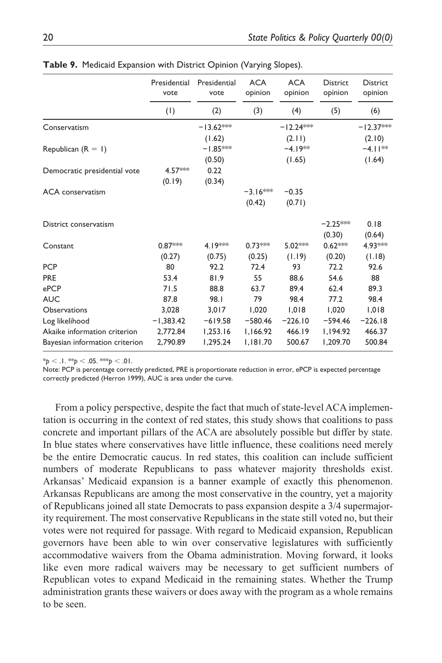|                                | Presidential<br>vote | Presidential<br>vote | <b>ACA</b><br>opinion | <b>ACA</b><br>opinion | <b>District</b><br>opinion | <b>District</b><br>opinion |
|--------------------------------|----------------------|----------------------|-----------------------|-----------------------|----------------------------|----------------------------|
|                                | (1)                  | (2)                  | (3)                   | (4)                   | (5)                        | (6)                        |
| Conservatism                   |                      | $-13.62***$          |                       | $-12.24***$           |                            | $-12.37***$                |
|                                |                      | (1.62)               |                       | (2.11)                |                            | (2.10)                     |
| Republican $(R = 1)$           |                      | $-1.85***$           |                       | $-4.19**$             |                            | $-4.11**$                  |
|                                |                      | (0.50)               |                       | (1.65)                |                            | (1.64)                     |
| Democratic presidential vote   | 4.57***              | 0.22                 |                       |                       |                            |                            |
|                                | (0.19)               | (0.34)               |                       |                       |                            |                            |
| <b>ACA</b> conservatism        |                      |                      | $-3.16***$            | $-0.35$               |                            |                            |
|                                |                      |                      | (0.42)                | (0.71)                |                            |                            |
| District conservatism          |                      |                      |                       |                       | $-2.25***$                 | 0.18                       |
|                                |                      |                      |                       |                       | (0.30)                     | (0.64)                     |
| Constant                       | $0.87***$            | 4.19***              | $0.73***$             | $5.02***$             | $0.62***$                  | 4.93***                    |
|                                | (0.27)               | (0.75)               | (0.25)                | (1.19)                | (0.20)                     | (1.18)                     |
| <b>PCP</b>                     | 80                   | 92.2                 | 72.4                  | 93                    | 72.2                       | 92.6                       |
| <b>PRE</b>                     | 53.4                 | 81.9                 | 55                    | 88.6                  | 54.6                       | 88                         |
| ePCP                           | 71.5                 | 88.8                 | 63.7                  | 89.4                  | 62.4                       | 89.3                       |
| <b>AUC</b>                     | 87.8                 | 98.I                 | 79                    | 98.4                  | 77.2                       | 98.4                       |
| <b>Observations</b>            | 3,028                | 3.017                | 1,020                 | 1.018                 | 1,020                      | 1,018                      |
| Log likelihood                 | $-1,383.42$          | $-619.58$            | $-580.46$             | $-226.10$             | $-594.46$                  | $-226.18$                  |
| Akaike information criterion   | 2,772.84             | 1,253.16             | 1,166.92              | 466.19                | 1,194.92                   | 466.37                     |
| Bayesian information criterion | 2,790.89             | 1,295.24             | 1,181.70              | 500.67                | 1,209.70                   | 500.84                     |

**Table 9.** Medicaid Expansion with District Opinion (Varying Slopes).

 $*_{p}$  < .1.  $*_{p}$  < .05.  $*_{p}$  < .01.

Note: PCP is percentage correctly predicted, PRE is proportionate reduction in error, ePCP is expected percentage correctly predicted (Herron 1999), AUC is area under the curve.

From a policy perspective, despite the fact that much of state-level ACA implementation is occurring in the context of red states, this study shows that coalitions to pass concrete and important pillars of the ACA are absolutely possible but differ by state. In blue states where conservatives have little influence, these coalitions need merely be the entire Democratic caucus. In red states, this coalition can include sufficient numbers of moderate Republicans to pass whatever majority thresholds exist. Arkansas' Medicaid expansion is a banner example of exactly this phenomenon. Arkansas Republicans are among the most conservative in the country, yet a majority of Republicans joined all state Democrats to pass expansion despite a 3/4 supermajority requirement. The most conservative Republicans in the state still voted no, but their votes were not required for passage. With regard to Medicaid expansion, Republican governors have been able to win over conservative legislatures with sufficiently accommodative waivers from the Obama administration. Moving forward, it looks like even more radical waivers may be necessary to get sufficient numbers of Republican votes to expand Medicaid in the remaining states. Whether the Trump administration grants these waivers or does away with the program as a whole remains to be seen.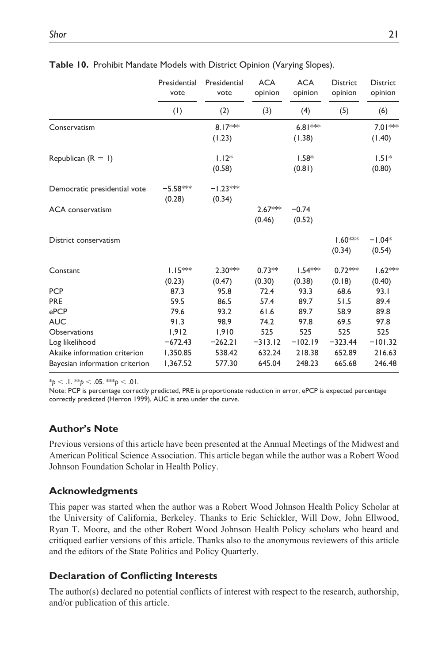|                                | Presidential<br>vote | Presidential<br>vote | <b>ACA</b><br>opinion | <b>ACA</b><br>opinion | <b>District</b><br>opinion | <b>District</b><br>opinion |
|--------------------------------|----------------------|----------------------|-----------------------|-----------------------|----------------------------|----------------------------|
|                                | (1)                  | (2)                  | (3)                   | (4)                   | (5)                        | (6)                        |
| Conservatism                   |                      | $8.17***$<br>(1.23)  |                       | $6.81***$<br>(1.38)   |                            | $7.01***$<br>(1.40)        |
| Republican $(R = 1)$           |                      | $1.12*$<br>(0.58)    |                       | $1.58*$<br>(0.81)     |                            | $1.51*$<br>(0.80)          |
| Democratic presidential vote   | $-5.58***$<br>(0.28) | $-1.23***$<br>(0.34) |                       |                       |                            |                            |
| <b>ACA</b> conservatism        |                      |                      | 2.67***<br>(0.46)     | $-0.74$<br>(0.52)     |                            |                            |
| District conservatism          |                      |                      |                       |                       | $1.60***$<br>(0.34)        | $-1.04*$<br>(0.54)         |
| Constant                       | $1.15***$<br>(0.23)  | $2.30***$<br>(0.47)  | $0.73**$<br>(0.30)    | $1.54***$<br>(0.38)   | $0.72***$<br>(0.18)        | $1.62***$<br>(0.40)        |
| <b>PCP</b>                     | 87.3                 | 95.8                 | 72.4                  | 93.3                  | 68.6                       | 93.1                       |
| <b>PRE</b>                     | 59.5                 | 86.5                 | 57.4                  | 89.7                  | 51.5                       | 89.4                       |
| ePCP                           | 79.6                 | 93.2                 | 61.6                  | 89.7                  | 58.9                       | 89.8                       |
| <b>AUC</b>                     | 91.3                 | 98.9                 | 74.2                  | 97.8                  | 69.5                       | 97.8                       |
| <b>Observations</b>            | 1,912                | 1,910                | 525                   | 525                   | 525                        | 525                        |
| Log likelihood                 | $-672.43$            | $-262.21$            | $-313.12$             | $-102.19$             | $-323.44$                  | $-101.32$                  |
| Akaike information criterion   | 1,350.85             | 538.42               | 632.24                | 218.38                | 652.89                     | 216.63                     |
| Bayesian information criterion | 1,367.52             | 577.30               | 645.04                | 248.23                | 665.68                     | 246.48                     |

**Table 10.** Prohibit Mandate Models with District Opinion (Varying Slopes).

 $*_{p}$  < .1.  $*_{p}$  < .05.  $*_{p}$  < .01.

Note: PCP is percentage correctly predicted, PRE is proportionate reduction in error, ePCP is expected percentage correctly predicted (Herron 1999), AUC is area under the curve.

### **Author's Note**

Previous versions of this article have been presented at the Annual Meetings of the Midwest and American Political Science Association. This article began while the author was a Robert Wood Johnson Foundation Scholar in Health Policy.

## **Acknowledgments**

This paper was started when the author was a Robert Wood Johnson Health Policy Scholar at the University of California, Berkeley. Thanks to Eric Schickler, Will Dow, John Ellwood, Ryan T. Moore, and the other Robert Wood Johnson Health Policy scholars who heard and critiqued earlier versions of this article. Thanks also to the anonymous reviewers of this article and the editors of the State Politics and Policy Quarterly.

## **Declaration of Conflicting Interests**

The author(s) declared no potential conflicts of interest with respect to the research, authorship, and/or publication of this article.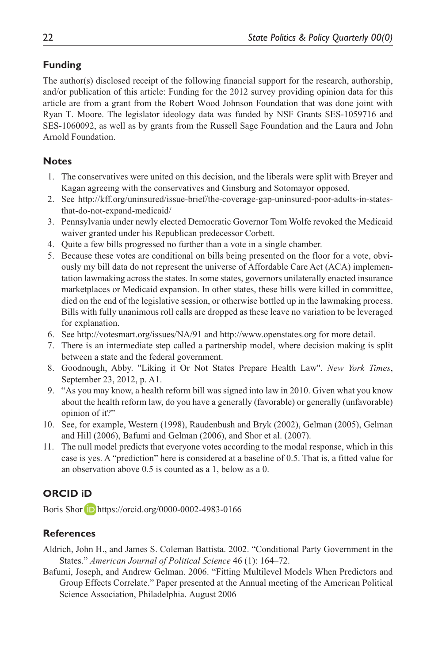## **Funding**

The author(s) disclosed receipt of the following financial support for the research, authorship, and/or publication of this article: Funding for the 2012 survey providing opinion data for this article are from a grant from the Robert Wood Johnson Foundation that was done joint with Ryan T. Moore. The legislator ideology data was funded by NSF Grants SES-1059716 and SES-1060092, as well as by grants from the Russell Sage Foundation and the Laura and John Arnold Foundation.

## **Notes**

- 1. The conservatives were united on this decision, and the liberals were split with Breyer and Kagan agreeing with the conservatives and Ginsburg and Sotomayor opposed.
- 2. See [http://kff.org/uninsured/issue-brief/the-coverage-gap-uninsured-poor-adults-in-states](http://kff.org/uninsured/issue-brief/the-coverage-gap-uninsured-poor-adults-in-states-that-do-not-expand-medicaid/)[that-do-not-expand-medicaid/](http://kff.org/uninsured/issue-brief/the-coverage-gap-uninsured-poor-adults-in-states-that-do-not-expand-medicaid/)
- 3. Pennsylvania under newly elected Democratic Governor Tom Wolfe revoked the Medicaid waiver granted under his Republican predecessor Corbett.
- 4. Quite a few bills progressed no further than a vote in a single chamber.
- 5. Because these votes are conditional on bills being presented on the floor for a vote, obviously my bill data do not represent the universe of Affordable Care Act (ACA) implementation lawmaking across the states. In some states, governors unilaterally enacted insurance marketplaces or Medicaid expansion. In other states, these bills were killed in committee, died on the end of the legislative session, or otherwise bottled up in the lawmaking process. Bills with fully unanimous roll calls are dropped as these leave no variation to be leveraged for explanation.
- 6. See<http://votesmart.org/issues/NA/91> and <http://www.openstates.org> for more detail.
- 7. There is an intermediate step called a partnership model, where decision making is split between a state and the federal government.
- 8. Goodnough, Abby. "Liking it Or Not States Prepare Health Law". *New York Times*, September 23, 2012, p. A1.
- 9. "As you may know, a health reform bill was signed into law in 2010. Given what you know about the health reform law, do you have a generally (favorable) or generally (unfavorable) opinion of it?"
- 10. See, for example, Western (1998), Raudenbush and Bryk (2002), Gelman (2005), Gelman and Hill (2006), Bafumi and Gelman (2006), and Shor et al. (2007).
- 11. The null model predicts that everyone votes according to the modal response, which in this case is yes. A "prediction" here is considered at a baseline of 0.5. That is, a fitted value for an observation above 0.5 is counted as a 1, below as a 0.

## **ORCID iD**

Boris Shor **D** <https://orcid.org/0000-0002-4983-0166>

## **References**

- Aldrich, John H., and James S. Coleman Battista. 2002. "Conditional Party Government in the States." *American Journal of Political Science* 46 (1): 164–72.
- Bafumi, Joseph, and Andrew Gelman. 2006. "Fitting Multilevel Models When Predictors and Group Effects Correlate." Paper presented at the Annual meeting of the American Political Science Association, Philadelphia. August 2006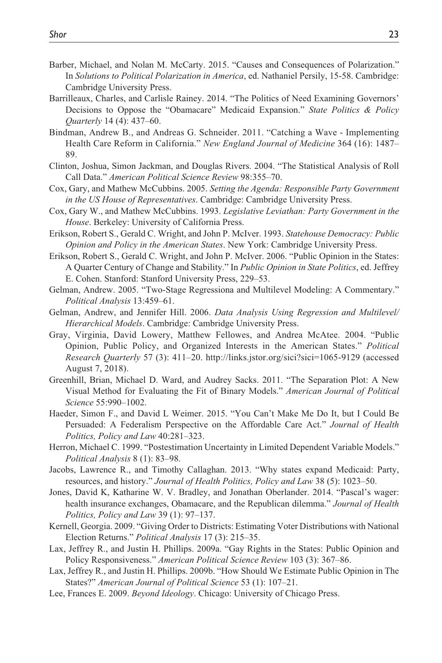- Barber, Michael, and Nolan M. McCarty. 2015. "Causes and Consequences of Polarization." In *Solutions to Political Polarization in America*, ed. Nathaniel Persily, 15-58. Cambridge: Cambridge University Press.
- Barrilleaux, Charles, and Carlisle Rainey. 2014. "The Politics of Need Examining Governors' Decisions to Oppose the "Obamacare" Medicaid Expansion." *State Politics & Policy Quarterly* 14 (4): 437–60.
- Bindman, Andrew B., and Andreas G. Schneider. 2011. "Catching a Wave Implementing Health Care Reform in California." *New England Journal of Medicine* 364 (16): 1487– 89.
- Clinton, Joshua, Simon Jackman, and Douglas Rivers. 2004. "The Statistical Analysis of Roll Call Data." *American Political Science Review* 98:355–70.
- Cox, Gary, and Mathew McCubbins. 2005. *Setting the Agenda: Responsible Party Government in the US House of Representatives*. Cambridge: Cambridge University Press.
- Cox, Gary W., and Mathew McCubbins. 1993. *Legislative Leviathan: Party Government in the House*. Berkeley: University of California Press.
- Erikson, Robert S., Gerald C. Wright, and John P. McIver. 1993. *Statehouse Democracy: Public Opinion and Policy in the American States*. New York: Cambridge University Press.
- Erikson, Robert S., Gerald C. Wright, and John P. McIver. 2006. "Public Opinion in the States: A Quarter Century of Change and Stability." In *Public Opinion in State Politics*, ed. Jeffrey E. Cohen. Stanford: Stanford University Press, 229–53.
- Gelman, Andrew. 2005. "Two-Stage Regressiona and Multilevel Modeling: A Commentary." *Political Analysis* 13:459–61.
- Gelman, Andrew, and Jennifer Hill. 2006. *Data Analysis Using Regression and Multilevel/ Hierarchical Models*. Cambridge: Cambridge University Press.
- Gray, Virginia, David Lowery, Matthew Fellowes, and Andrea McAtee. 2004. "Public Opinion, Public Policy, and Organized Interests in the American States." *Political Research Quarterly* 57 (3): 411–20. <http://links.jstor.org/sici?sici=1065-9129>(accessed August 7, 2018).
- Greenhill, Brian, Michael D. Ward, and Audrey Sacks. 2011. "The Separation Plot: A New Visual Method for Evaluating the Fit of Binary Models." *American Journal of Political Science* 55:990–1002.
- Haeder, Simon F., and David L Weimer. 2015. "You Can't Make Me Do It, but I Could Be Persuaded: A Federalism Perspective on the Affordable Care Act." *Journal of Health Politics, Policy and Law* 40:281–323.
- Herron, Michael C. 1999. "Postestimation Uncertainty in Limited Dependent Variable Models." *Political Analysis* 8 (1): 83–98.
- Jacobs, Lawrence R., and Timothy Callaghan. 2013. "Why states expand Medicaid: Party, resources, and history." *Journal of Health Politics, Policy and Law* 38 (5): 1023–50.
- Jones, David K, Katharine W. V. Bradley, and Jonathan Oberlander. 2014. "Pascal's wager: health insurance exchanges, Obamacare, and the Republican dilemma." *Journal of Health Politics, Policy and Law* 39 (1): 97–137.
- Kernell, Georgia. 2009. "Giving Order to Districts: Estimating Voter Distributions with National Election Returns." *Political Analysis* 17 (3): 215–35.
- Lax, Jeffrey R., and Justin H. Phillips. 2009a. "Gay Rights in the States: Public Opinion and Policy Responsiveness." *American Political Science Review* 103 (3): 367–86.
- Lax, Jeffrey R., and Justin H. Phillips. 2009b. "How Should We Estimate Public Opinion in The States?" *American Journal of Political Science* 53 (1): 107–21.
- Lee, Frances E. 2009. *Beyond Ideology*. Chicago: University of Chicago Press.